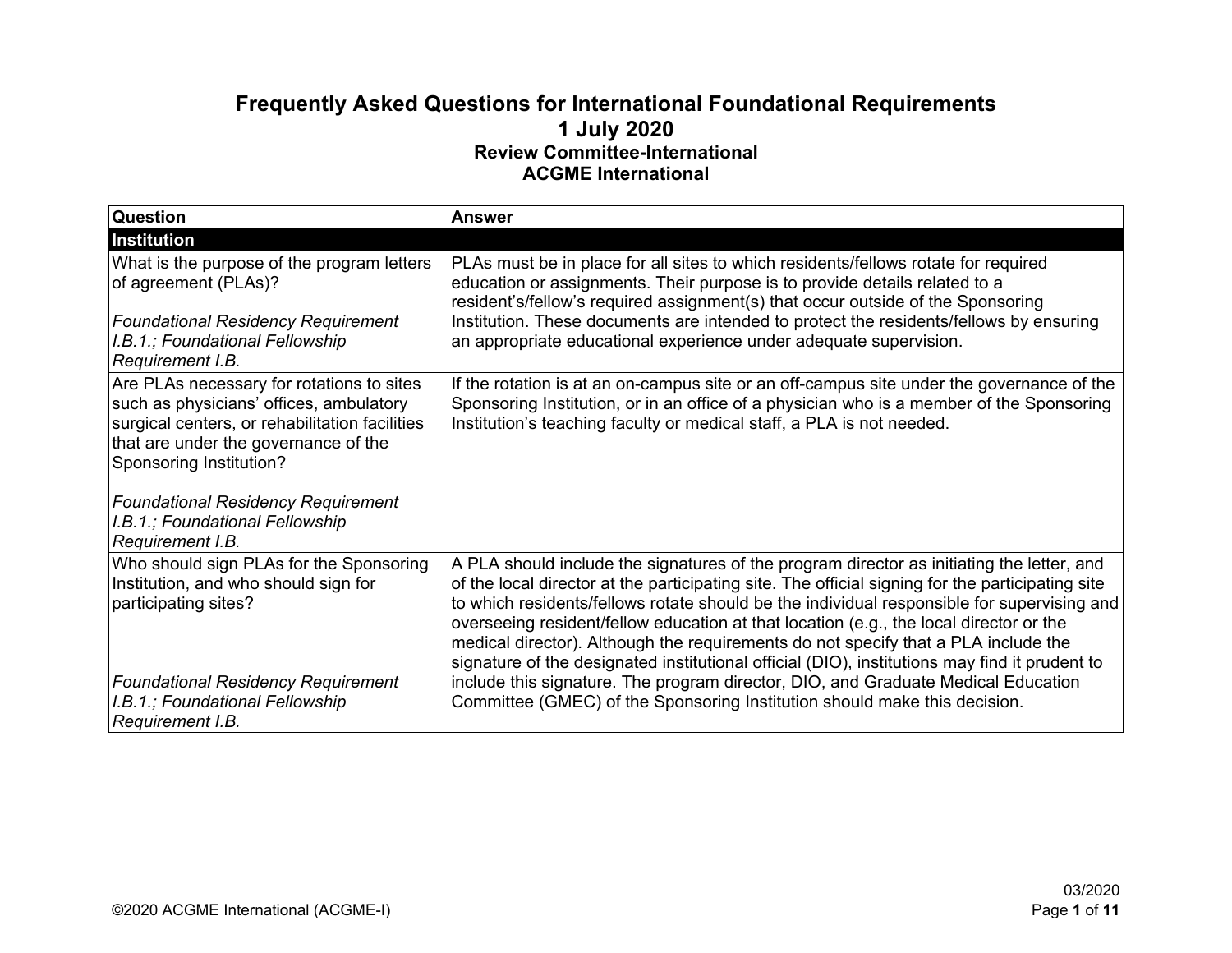## **Frequently Asked Questions for International Foundational Requirements 1 July 2020 Review Committee-International ACGME International**

| Question                                                                                                                                                                                                                                                                                                      | <b>Answer</b>                                                                                                                                                                                                                                                                                                                                                                                                                                                                                                                                                                                                                                                     |
|---------------------------------------------------------------------------------------------------------------------------------------------------------------------------------------------------------------------------------------------------------------------------------------------------------------|-------------------------------------------------------------------------------------------------------------------------------------------------------------------------------------------------------------------------------------------------------------------------------------------------------------------------------------------------------------------------------------------------------------------------------------------------------------------------------------------------------------------------------------------------------------------------------------------------------------------------------------------------------------------|
| Institution                                                                                                                                                                                                                                                                                                   |                                                                                                                                                                                                                                                                                                                                                                                                                                                                                                                                                                                                                                                                   |
| What is the purpose of the program letters<br>of agreement (PLAs)?                                                                                                                                                                                                                                            | PLAs must be in place for all sites to which residents/fellows rotate for required<br>education or assignments. Their purpose is to provide details related to a<br>resident's/fellow's required assignment(s) that occur outside of the Sponsoring                                                                                                                                                                                                                                                                                                                                                                                                               |
| <b>Foundational Residency Requirement</b><br>I.B.1.; Foundational Fellowship<br>Requirement I.B.                                                                                                                                                                                                              | Institution. These documents are intended to protect the residents/fellows by ensuring<br>an appropriate educational experience under adequate supervision.                                                                                                                                                                                                                                                                                                                                                                                                                                                                                                       |
| Are PLAs necessary for rotations to sites<br>such as physicians' offices, ambulatory<br>surgical centers, or rehabilitation facilities<br>that are under the governance of the<br>Sponsoring Institution?<br><b>Foundational Residency Requirement</b><br>I.B.1.; Foundational Fellowship<br>Requirement I.B. | If the rotation is at an on-campus site or an off-campus site under the governance of the<br>Sponsoring Institution, or in an office of a physician who is a member of the Sponsoring<br>Institution's teaching faculty or medical staff, a PLA is not needed.                                                                                                                                                                                                                                                                                                                                                                                                    |
| Who should sign PLAs for the Sponsoring<br>Institution, and who should sign for<br>participating sites?<br><b>Foundational Residency Requirement</b>                                                                                                                                                          | A PLA should include the signatures of the program director as initiating the letter, and<br>of the local director at the participating site. The official signing for the participating site<br>to which residents/fellows rotate should be the individual responsible for supervising and<br>overseeing resident/fellow education at that location (e.g., the local director or the<br>medical director). Although the requirements do not specify that a PLA include the<br>signature of the designated institutional official (DIO), institutions may find it prudent to<br>include this signature. The program director, DIO, and Graduate Medical Education |
| I.B.1.; Foundational Fellowship<br>Requirement I.B.                                                                                                                                                                                                                                                           | Committee (GMEC) of the Sponsoring Institution should make this decision.                                                                                                                                                                                                                                                                                                                                                                                                                                                                                                                                                                                         |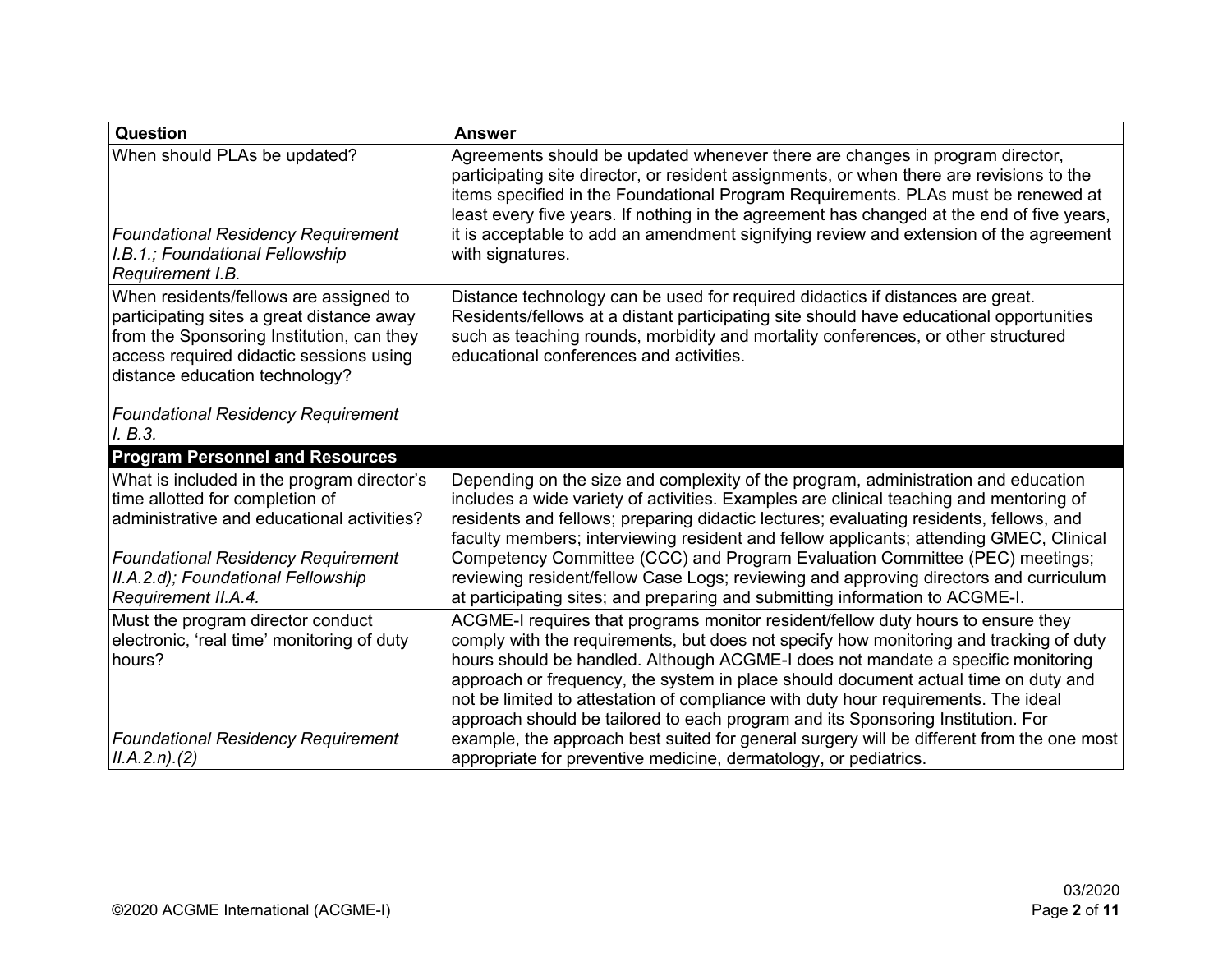| Question                                                                                                                                                                                                                                                              | <b>Answer</b>                                                                                                                                                                                                                                                                                                                                                                                                                                                                                                                 |
|-----------------------------------------------------------------------------------------------------------------------------------------------------------------------------------------------------------------------------------------------------------------------|-------------------------------------------------------------------------------------------------------------------------------------------------------------------------------------------------------------------------------------------------------------------------------------------------------------------------------------------------------------------------------------------------------------------------------------------------------------------------------------------------------------------------------|
| When should PLAs be updated?<br><b>Foundational Residency Requirement</b><br>I.B.1.; Foundational Fellowship<br>Requirement I.B.                                                                                                                                      | Agreements should be updated whenever there are changes in program director,<br>participating site director, or resident assignments, or when there are revisions to the<br>items specified in the Foundational Program Requirements. PLAs must be renewed at<br>least every five years. If nothing in the agreement has changed at the end of five years,<br>it is acceptable to add an amendment signifying review and extension of the agreement<br>with signatures.                                                       |
| When residents/fellows are assigned to<br>participating sites a great distance away<br>from the Sponsoring Institution, can they<br>access required didactic sessions using<br>distance education technology?<br><b>Foundational Residency Requirement</b><br>I. B.3. | Distance technology can be used for required didactics if distances are great.<br>Residents/fellows at a distant participating site should have educational opportunities<br>such as teaching rounds, morbidity and mortality conferences, or other structured<br>educational conferences and activities.                                                                                                                                                                                                                     |
| <b>Program Personnel and Resources</b>                                                                                                                                                                                                                                |                                                                                                                                                                                                                                                                                                                                                                                                                                                                                                                               |
| What is included in the program director's<br>time allotted for completion of<br>administrative and educational activities?                                                                                                                                           | Depending on the size and complexity of the program, administration and education<br>includes a wide variety of activities. Examples are clinical teaching and mentoring of<br>residents and fellows; preparing didactic lectures; evaluating residents, fellows, and<br>faculty members; interviewing resident and fellow applicants; attending GMEC, Clinical                                                                                                                                                               |
| <b>Foundational Residency Requirement</b><br>II.A.2.d); Foundational Fellowship<br>Requirement II.A.4.                                                                                                                                                                | Competency Committee (CCC) and Program Evaluation Committee (PEC) meetings;<br>reviewing resident/fellow Case Logs; reviewing and approving directors and curriculum<br>at participating sites; and preparing and submitting information to ACGME-I.                                                                                                                                                                                                                                                                          |
| Must the program director conduct<br>electronic, 'real time' monitoring of duty<br>hours?                                                                                                                                                                             | ACGME-I requires that programs monitor resident/fellow duty hours to ensure they<br>comply with the requirements, but does not specify how monitoring and tracking of duty<br>hours should be handled. Although ACGME-I does not mandate a specific monitoring<br>approach or frequency, the system in place should document actual time on duty and<br>not be limited to attestation of compliance with duty hour requirements. The ideal<br>approach should be tailored to each program and its Sponsoring Institution. For |
| <b>Foundational Residency Requirement</b><br>$ILA.2.n$ . (2)                                                                                                                                                                                                          | example, the approach best suited for general surgery will be different from the one most<br>appropriate for preventive medicine, dermatology, or pediatrics.                                                                                                                                                                                                                                                                                                                                                                 |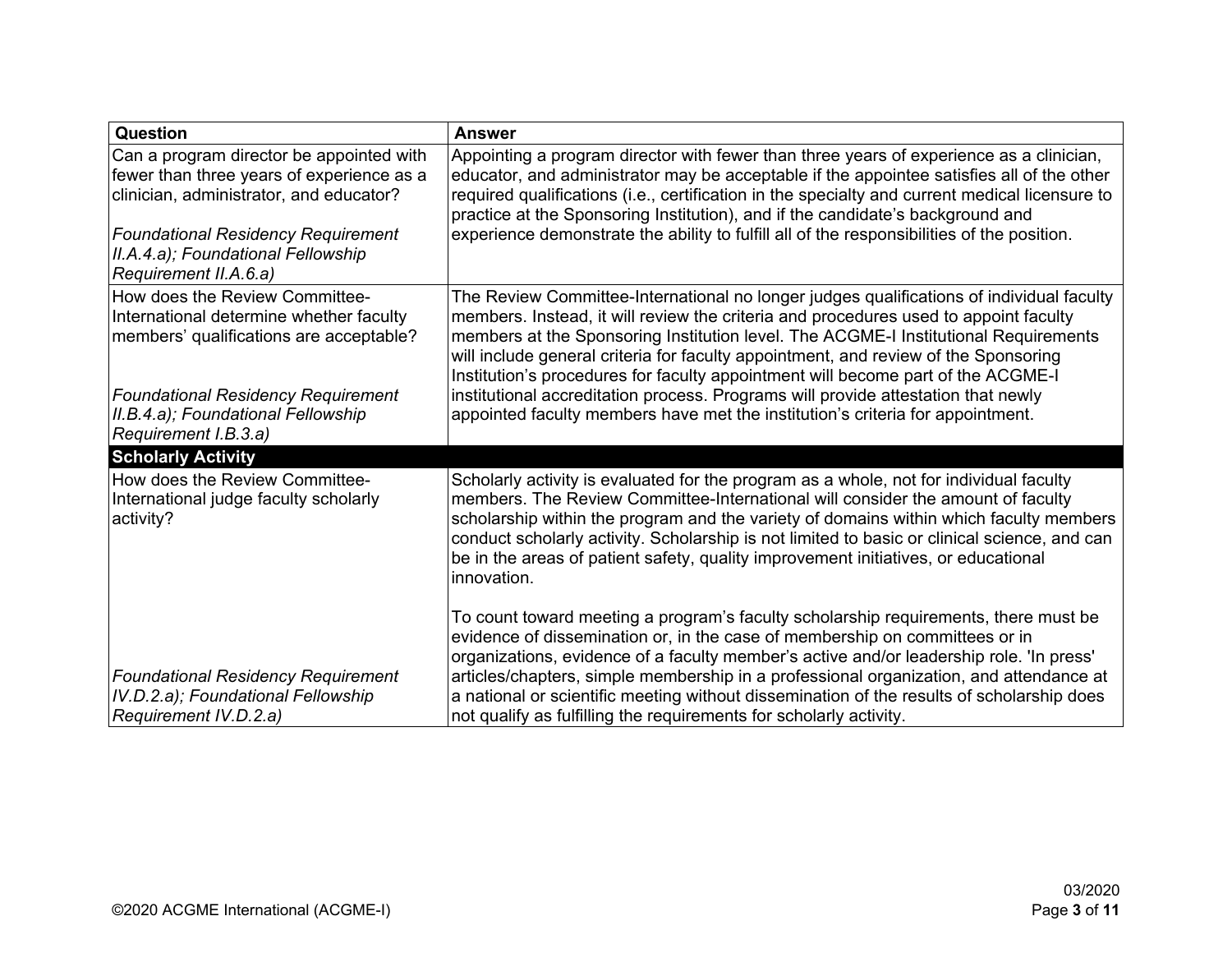| Question                                                                                                                                                                                                                                     | <b>Answer</b>                                                                                                                                                                                                                                                                                                                                                                                                                                                                                                              |
|----------------------------------------------------------------------------------------------------------------------------------------------------------------------------------------------------------------------------------------------|----------------------------------------------------------------------------------------------------------------------------------------------------------------------------------------------------------------------------------------------------------------------------------------------------------------------------------------------------------------------------------------------------------------------------------------------------------------------------------------------------------------------------|
| Can a program director be appointed with<br>fewer than three years of experience as a<br>clinician, administrator, and educator?<br><b>Foundational Residency Requirement</b><br>II.A.4.a); Foundational Fellowship<br>Requirement II.A.6.a) | Appointing a program director with fewer than three years of experience as a clinician,<br>educator, and administrator may be acceptable if the appointee satisfies all of the other<br>required qualifications (i.e., certification in the specialty and current medical licensure to<br>practice at the Sponsoring Institution), and if the candidate's background and<br>experience demonstrate the ability to fulfill all of the responsibilities of the position.                                                     |
| How does the Review Committee-<br>International determine whether faculty<br>members' qualifications are acceptable?                                                                                                                         | The Review Committee-International no longer judges qualifications of individual faculty<br>members. Instead, it will review the criteria and procedures used to appoint faculty<br>members at the Sponsoring Institution level. The ACGME-I Institutional Requirements<br>will include general criteria for faculty appointment, and review of the Sponsoring<br>Institution's procedures for faculty appointment will become part of the ACGME-I                                                                         |
| <b>Foundational Residency Requirement</b><br>II.B.4.a); Foundational Fellowship<br>Requirement I.B.3.a)                                                                                                                                      | institutional accreditation process. Programs will provide attestation that newly<br>appointed faculty members have met the institution's criteria for appointment.                                                                                                                                                                                                                                                                                                                                                        |
| <b>Scholarly Activity</b>                                                                                                                                                                                                                    |                                                                                                                                                                                                                                                                                                                                                                                                                                                                                                                            |
| How does the Review Committee-<br>International judge faculty scholarly<br>activity?                                                                                                                                                         | Scholarly activity is evaluated for the program as a whole, not for individual faculty<br>members. The Review Committee-International will consider the amount of faculty<br>scholarship within the program and the variety of domains within which faculty members<br>conduct scholarly activity. Scholarship is not limited to basic or clinical science, and can<br>be in the areas of patient safety, quality improvement initiatives, or educational<br>innovation.                                                   |
| <b>Foundational Residency Requirement</b><br>IV.D.2.a); Foundational Fellowship<br>Requirement IV.D.2.a)                                                                                                                                     | To count toward meeting a program's faculty scholarship requirements, there must be<br>evidence of dissemination or, in the case of membership on committees or in<br>organizations, evidence of a faculty member's active and/or leadership role. 'In press'<br>articles/chapters, simple membership in a professional organization, and attendance at<br>a national or scientific meeting without dissemination of the results of scholarship does<br>not qualify as fulfilling the requirements for scholarly activity. |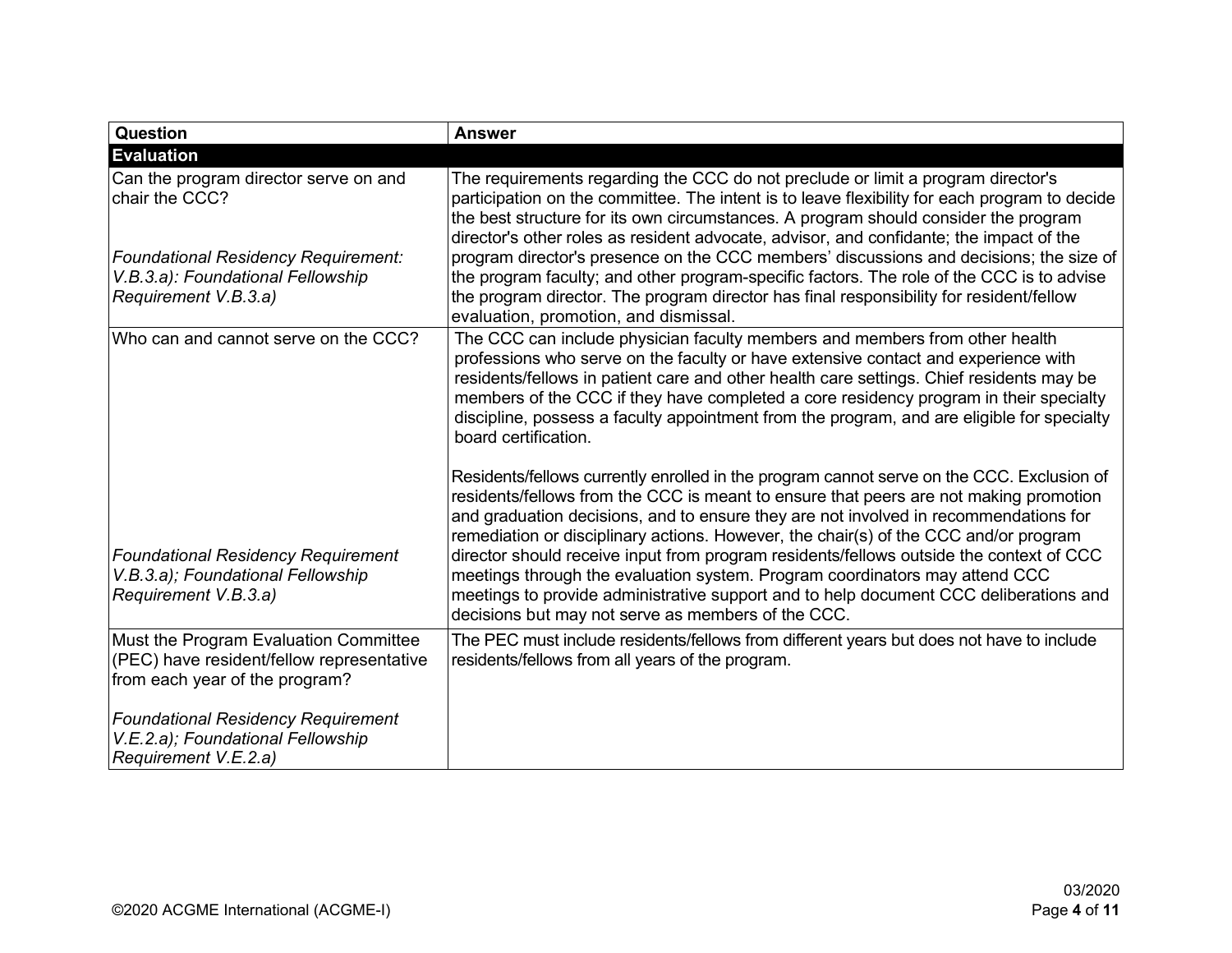| <b>Question</b>                                                                                                      | <b>Answer</b>                                                                                                                                                                                                                                                                                                                                                                                                                                                                                                                                                                                                                                                                               |
|----------------------------------------------------------------------------------------------------------------------|---------------------------------------------------------------------------------------------------------------------------------------------------------------------------------------------------------------------------------------------------------------------------------------------------------------------------------------------------------------------------------------------------------------------------------------------------------------------------------------------------------------------------------------------------------------------------------------------------------------------------------------------------------------------------------------------|
| <b>Evaluation</b>                                                                                                    |                                                                                                                                                                                                                                                                                                                                                                                                                                                                                                                                                                                                                                                                                             |
| Can the program director serve on and<br>chair the CCC?                                                              | The requirements regarding the CCC do not preclude or limit a program director's<br>participation on the committee. The intent is to leave flexibility for each program to decide<br>the best structure for its own circumstances. A program should consider the program<br>director's other roles as resident advocate, advisor, and confidante; the impact of the                                                                                                                                                                                                                                                                                                                         |
| <b>Foundational Residency Requirement:</b><br>V.B.3.a): Foundational Fellowship<br>Requirement V.B.3.a)              | program director's presence on the CCC members' discussions and decisions; the size of<br>the program faculty; and other program-specific factors. The role of the CCC is to advise<br>the program director. The program director has final responsibility for resident/fellow<br>evaluation, promotion, and dismissal.                                                                                                                                                                                                                                                                                                                                                                     |
| Who can and cannot serve on the CCC?                                                                                 | The CCC can include physician faculty members and members from other health<br>professions who serve on the faculty or have extensive contact and experience with<br>residents/fellows in patient care and other health care settings. Chief residents may be<br>members of the CCC if they have completed a core residency program in their specialty<br>discipline, possess a faculty appointment from the program, and are eligible for specialty<br>board certification.                                                                                                                                                                                                                |
| <b>Foundational Residency Requirement</b><br>V.B.3.a); Foundational Fellowship<br>Requirement V.B.3.a)               | Residents/fellows currently enrolled in the program cannot serve on the CCC. Exclusion of<br>residents/fellows from the CCC is meant to ensure that peers are not making promotion<br>and graduation decisions, and to ensure they are not involved in recommendations for<br>remediation or disciplinary actions. However, the chair(s) of the CCC and/or program<br>director should receive input from program residents/fellows outside the context of CCC<br>meetings through the evaluation system. Program coordinators may attend CCC<br>meetings to provide administrative support and to help document CCC deliberations and<br>decisions but may not serve as members of the CCC. |
| Must the Program Evaluation Committee<br>(PEC) have resident/fellow representative<br>from each year of the program? | The PEC must include residents/fellows from different years but does not have to include<br>residents/fellows from all years of the program.                                                                                                                                                                                                                                                                                                                                                                                                                                                                                                                                                |
| <b>Foundational Residency Requirement</b><br>V.E.2.a); Foundational Fellowship<br>Requirement V.E.2.a)               |                                                                                                                                                                                                                                                                                                                                                                                                                                                                                                                                                                                                                                                                                             |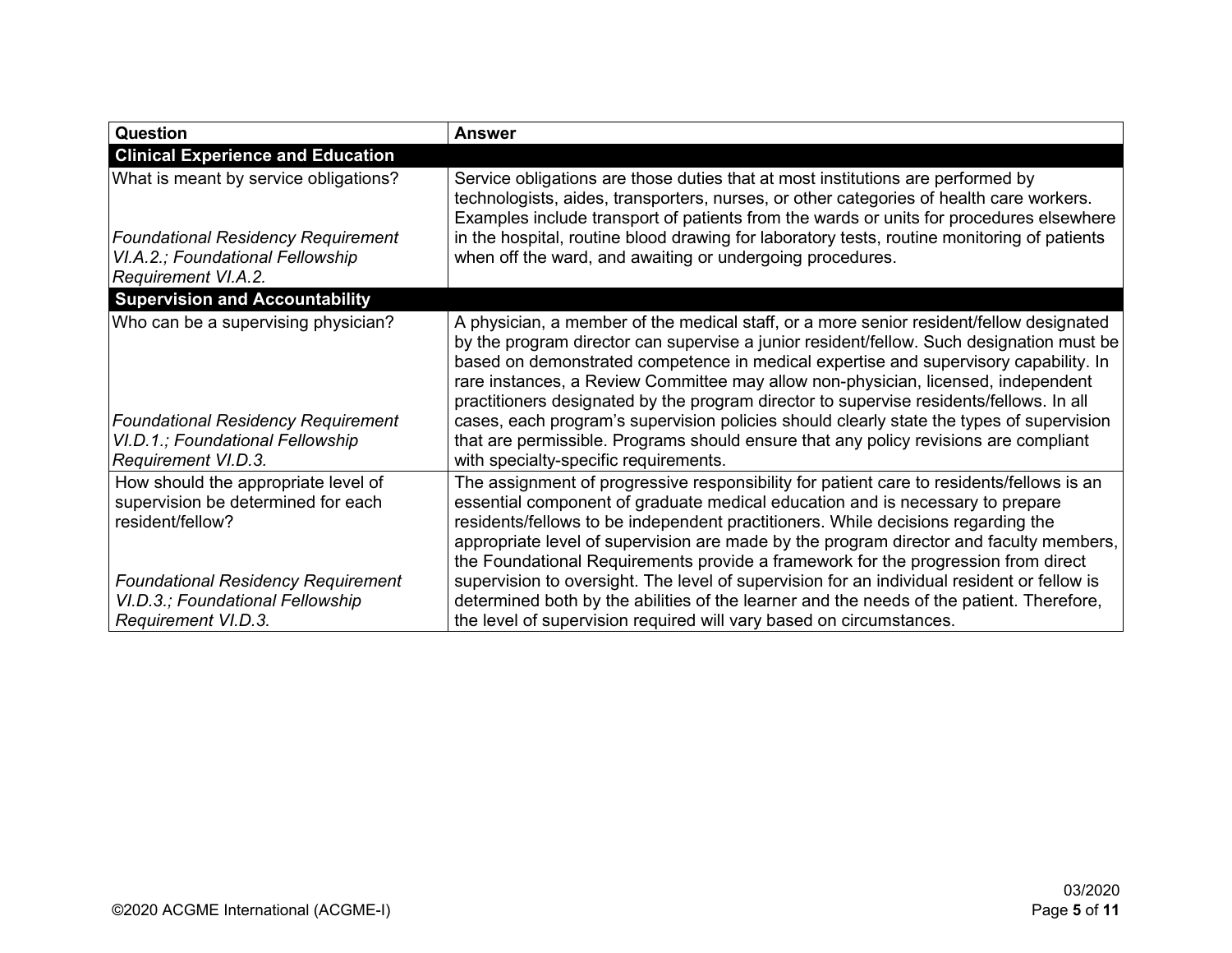| Question                                                                                                                                    | <b>Answer</b>                                                                                                                                                                                                                                                                                                                                                                                                                                                                                                                                                                                                                                                                            |
|---------------------------------------------------------------------------------------------------------------------------------------------|------------------------------------------------------------------------------------------------------------------------------------------------------------------------------------------------------------------------------------------------------------------------------------------------------------------------------------------------------------------------------------------------------------------------------------------------------------------------------------------------------------------------------------------------------------------------------------------------------------------------------------------------------------------------------------------|
| <b>Clinical Experience and Education</b>                                                                                                    |                                                                                                                                                                                                                                                                                                                                                                                                                                                                                                                                                                                                                                                                                          |
| What is meant by service obligations?                                                                                                       | Service obligations are those duties that at most institutions are performed by<br>technologists, aides, transporters, nurses, or other categories of health care workers.<br>Examples include transport of patients from the wards or units for procedures elsewhere                                                                                                                                                                                                                                                                                                                                                                                                                    |
| <b>Foundational Residency Requirement</b><br>VI.A.2.; Foundational Fellowship<br>Requirement VI.A.2.                                        | in the hospital, routine blood drawing for laboratory tests, routine monitoring of patients<br>when off the ward, and awaiting or undergoing procedures.                                                                                                                                                                                                                                                                                                                                                                                                                                                                                                                                 |
| <b>Supervision and Accountability</b>                                                                                                       |                                                                                                                                                                                                                                                                                                                                                                                                                                                                                                                                                                                                                                                                                          |
| Who can be a supervising physician?<br><b>Foundational Residency Requirement</b><br>VI.D.1.; Foundational Fellowship<br>Requirement VI.D.3. | A physician, a member of the medical staff, or a more senior resident/fellow designated<br>by the program director can supervise a junior resident/fellow. Such designation must be<br>based on demonstrated competence in medical expertise and supervisory capability. In<br>rare instances, a Review Committee may allow non-physician, licensed, independent<br>practitioners designated by the program director to supervise residents/fellows. In all<br>cases, each program's supervision policies should clearly state the types of supervision<br>that are permissible. Programs should ensure that any policy revisions are compliant<br>with specialty-specific requirements. |
| How should the appropriate level of<br>supervision be determined for each<br>resident/fellow?                                               | The assignment of progressive responsibility for patient care to residents/fellows is an<br>essential component of graduate medical education and is necessary to prepare<br>residents/fellows to be independent practitioners. While decisions regarding the<br>appropriate level of supervision are made by the program director and faculty members,<br>the Foundational Requirements provide a framework for the progression from direct                                                                                                                                                                                                                                             |
| <b>Foundational Residency Requirement</b><br>VI.D.3.; Foundational Fellowship<br>Requirement VI.D.3.                                        | supervision to oversight. The level of supervision for an individual resident or fellow is<br>determined both by the abilities of the learner and the needs of the patient. Therefore,<br>the level of supervision required will vary based on circumstances.                                                                                                                                                                                                                                                                                                                                                                                                                            |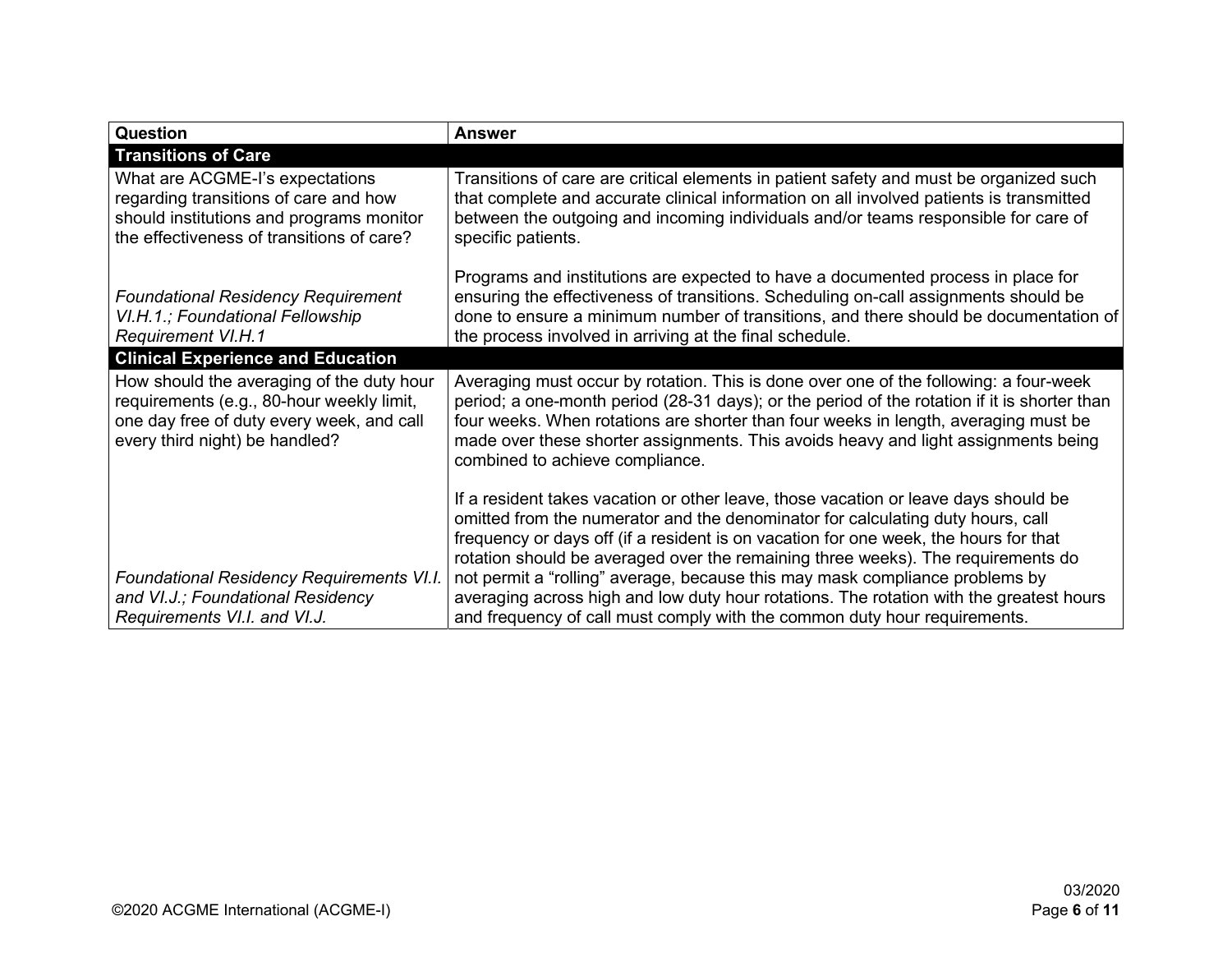| <b>Question</b>                                                                                                                                                       | <b>Answer</b>                                                                                                                                                                                                                                                                                                                                                                                         |
|-----------------------------------------------------------------------------------------------------------------------------------------------------------------------|-------------------------------------------------------------------------------------------------------------------------------------------------------------------------------------------------------------------------------------------------------------------------------------------------------------------------------------------------------------------------------------------------------|
| <b>Transitions of Care</b>                                                                                                                                            |                                                                                                                                                                                                                                                                                                                                                                                                       |
| What are ACGME-I's expectations<br>regarding transitions of care and how<br>should institutions and programs monitor<br>the effectiveness of transitions of care?     | Transitions of care are critical elements in patient safety and must be organized such<br>that complete and accurate clinical information on all involved patients is transmitted<br>between the outgoing and incoming individuals and/or teams responsible for care of<br>specific patients.                                                                                                         |
| <b>Foundational Residency Requirement</b><br>VI.H.1.; Foundational Fellowship<br><b>Requirement VI.H.1</b>                                                            | Programs and institutions are expected to have a documented process in place for<br>ensuring the effectiveness of transitions. Scheduling on-call assignments should be<br>done to ensure a minimum number of transitions, and there should be documentation of<br>the process involved in arriving at the final schedule.                                                                            |
| <b>Clinical Experience and Education</b>                                                                                                                              |                                                                                                                                                                                                                                                                                                                                                                                                       |
| How should the averaging of the duty hour<br>requirements (e.g., 80-hour weekly limit,<br>one day free of duty every week, and call<br>every third night) be handled? | Averaging must occur by rotation. This is done over one of the following: a four-week<br>period; a one-month period (28-31 days); or the period of the rotation if it is shorter than<br>four weeks. When rotations are shorter than four weeks in length, averaging must be<br>made over these shorter assignments. This avoids heavy and light assignments being<br>combined to achieve compliance. |
|                                                                                                                                                                       | If a resident takes vacation or other leave, those vacation or leave days should be<br>omitted from the numerator and the denominator for calculating duty hours, call<br>frequency or days off (if a resident is on vacation for one week, the hours for that<br>rotation should be averaged over the remaining three weeks). The requirements do                                                    |
| Foundational Residency Requirements VI.I.                                                                                                                             | not permit a "rolling" average, because this may mask compliance problems by                                                                                                                                                                                                                                                                                                                          |
| and VI.J.; Foundational Residency<br>Requirements VI.I. and VI.J.                                                                                                     | averaging across high and low duty hour rotations. The rotation with the greatest hours<br>and frequency of call must comply with the common duty hour requirements.                                                                                                                                                                                                                                  |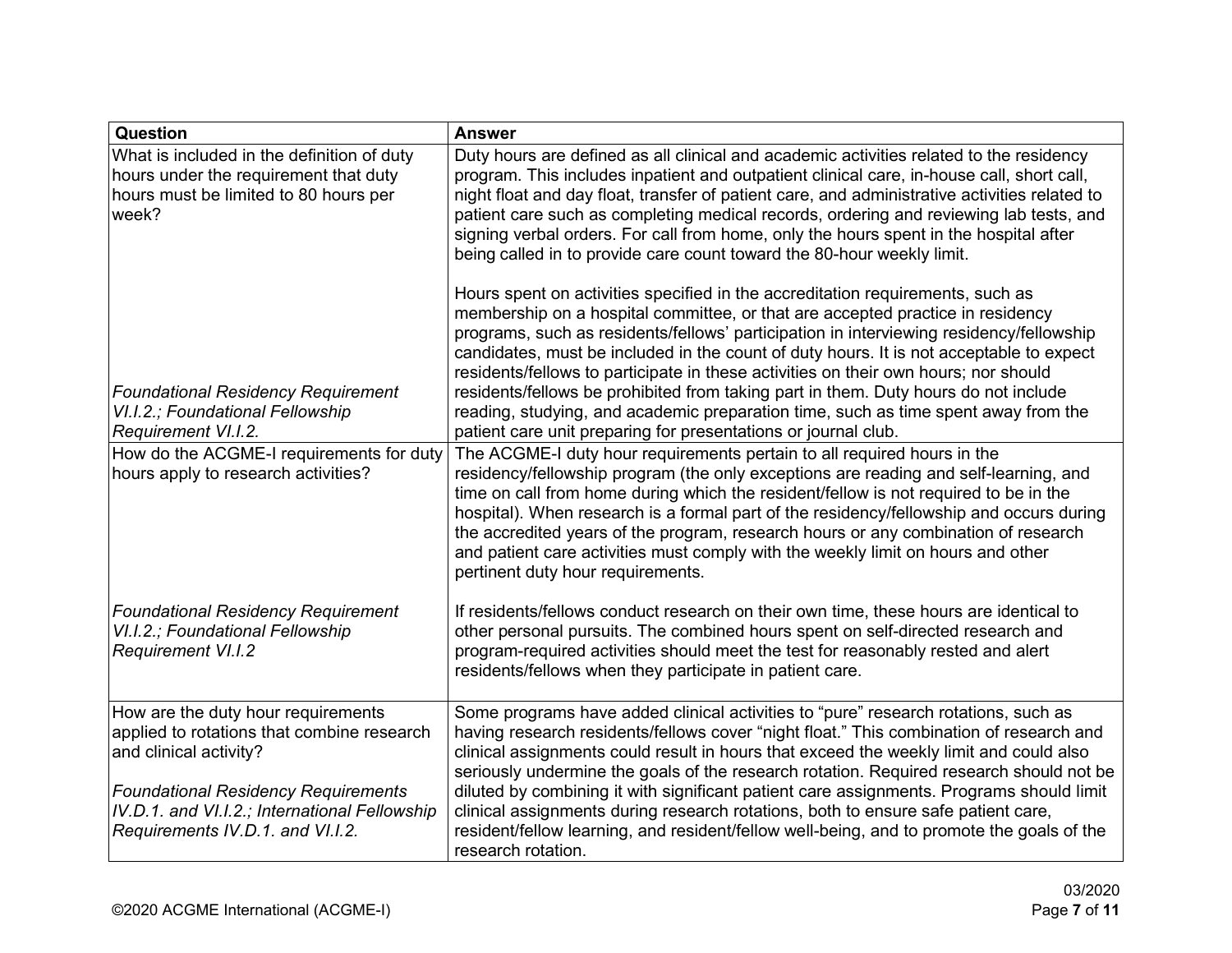| <b>Question</b>                                                                                                                                                                                                                               | <b>Answer</b>                                                                                                                                                                                                                                                                                                                                                                                                                                                                                                                                                                                                                                                                                |
|-----------------------------------------------------------------------------------------------------------------------------------------------------------------------------------------------------------------------------------------------|----------------------------------------------------------------------------------------------------------------------------------------------------------------------------------------------------------------------------------------------------------------------------------------------------------------------------------------------------------------------------------------------------------------------------------------------------------------------------------------------------------------------------------------------------------------------------------------------------------------------------------------------------------------------------------------------|
| What is included in the definition of duty<br>hours under the requirement that duty<br>hours must be limited to 80 hours per<br>week?                                                                                                         | Duty hours are defined as all clinical and academic activities related to the residency<br>program. This includes inpatient and outpatient clinical care, in-house call, short call,<br>night float and day float, transfer of patient care, and administrative activities related to<br>patient care such as completing medical records, ordering and reviewing lab tests, and<br>signing verbal orders. For call from home, only the hours spent in the hospital after<br>being called in to provide care count toward the 80-hour weekly limit.                                                                                                                                           |
| <b>Foundational Residency Requirement</b><br>VI.I.2.; Foundational Fellowship<br>Requirement VI.I.2.                                                                                                                                          | Hours spent on activities specified in the accreditation requirements, such as<br>membership on a hospital committee, or that are accepted practice in residency<br>programs, such as residents/fellows' participation in interviewing residency/fellowship<br>candidates, must be included in the count of duty hours. It is not acceptable to expect<br>residents/fellows to participate in these activities on their own hours; nor should<br>residents/fellows be prohibited from taking part in them. Duty hours do not include<br>reading, studying, and academic preparation time, such as time spent away from the<br>patient care unit preparing for presentations or journal club. |
| How do the ACGME-I requirements for duty<br>hours apply to research activities?                                                                                                                                                               | The ACGME-I duty hour requirements pertain to all required hours in the<br>residency/fellowship program (the only exceptions are reading and self-learning, and<br>time on call from home during which the resident/fellow is not required to be in the<br>hospital). When research is a formal part of the residency/fellowship and occurs during<br>the accredited years of the program, research hours or any combination of research<br>and patient care activities must comply with the weekly limit on hours and other<br>pertinent duty hour requirements.                                                                                                                            |
| <b>Foundational Residency Requirement</b><br>VI.I.2.; Foundational Fellowship<br><b>Requirement VI.I.2</b>                                                                                                                                    | If residents/fellows conduct research on their own time, these hours are identical to<br>other personal pursuits. The combined hours spent on self-directed research and<br>program-required activities should meet the test for reasonably rested and alert<br>residents/fellows when they participate in patient care.                                                                                                                                                                                                                                                                                                                                                                     |
| How are the duty hour requirements<br>applied to rotations that combine research<br>and clinical activity?<br><b>Foundational Residency Requirements</b><br>IV.D.1. and VI.I.2.; International Fellowship<br>Requirements IV.D.1. and VI.I.2. | Some programs have added clinical activities to "pure" research rotations, such as<br>having research residents/fellows cover "night float." This combination of research and<br>clinical assignments could result in hours that exceed the weekly limit and could also<br>seriously undermine the goals of the research rotation. Required research should not be<br>diluted by combining it with significant patient care assignments. Programs should limit<br>clinical assignments during research rotations, both to ensure safe patient care,<br>resident/fellow learning, and resident/fellow well-being, and to promote the goals of the<br>research rotation.                       |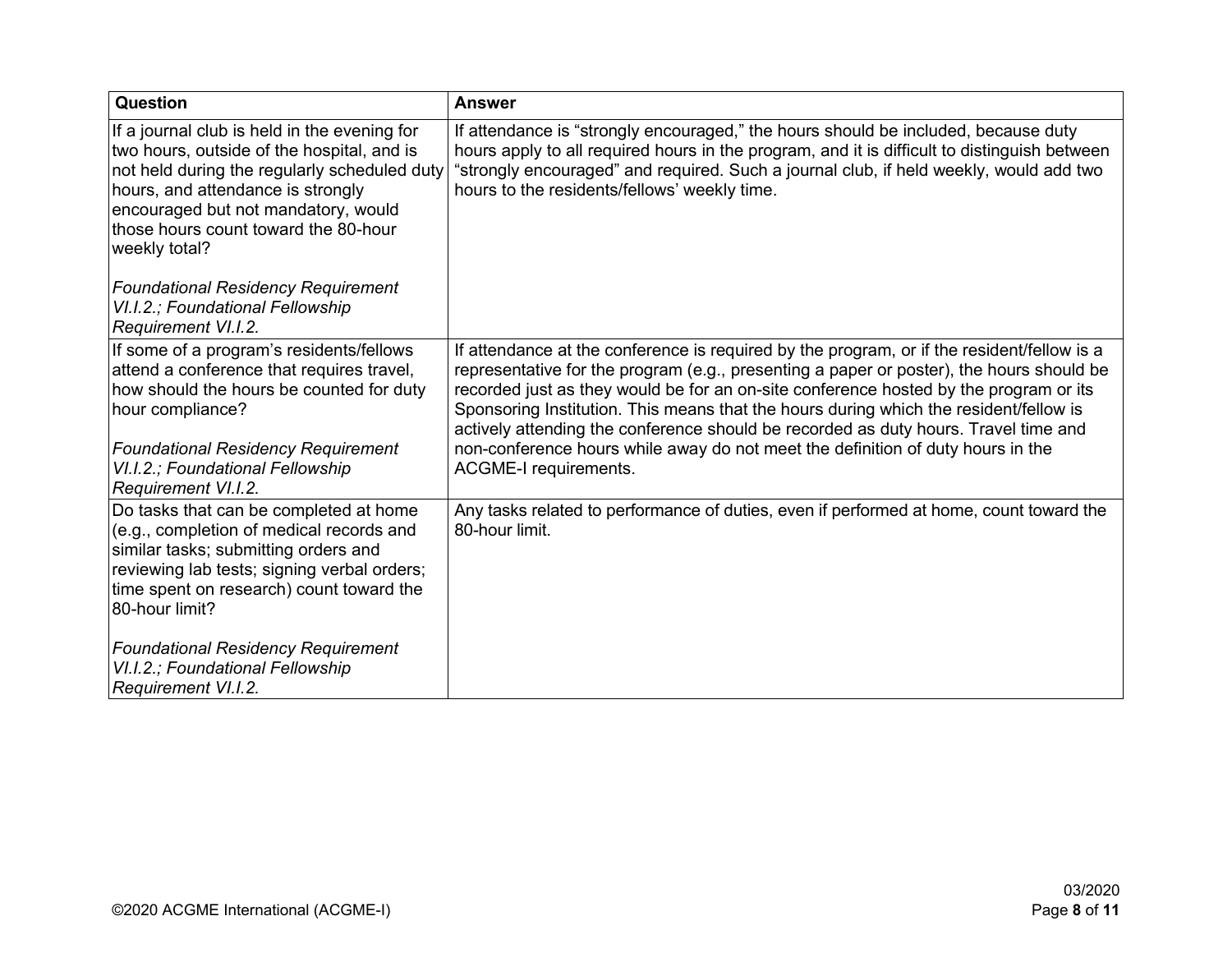| Question                                                                                                                                                                                                                                                                        | <b>Answer</b>                                                                                                                                                                                                                                                                                                                                                                                                                                                   |
|---------------------------------------------------------------------------------------------------------------------------------------------------------------------------------------------------------------------------------------------------------------------------------|-----------------------------------------------------------------------------------------------------------------------------------------------------------------------------------------------------------------------------------------------------------------------------------------------------------------------------------------------------------------------------------------------------------------------------------------------------------------|
| If a journal club is held in the evening for<br>two hours, outside of the hospital, and is<br>not held during the regularly scheduled duty<br>hours, and attendance is strongly<br>encouraged but not mandatory, would<br>those hours count toward the 80-hour<br>weekly total? | If attendance is "strongly encouraged," the hours should be included, because duty<br>hours apply to all required hours in the program, and it is difficult to distinguish between<br>"strongly encouraged" and required. Such a journal club, if held weekly, would add two<br>hours to the residents/fellows' weekly time.                                                                                                                                    |
| <b>Foundational Residency Requirement</b><br>VI.I.2.; Foundational Fellowship<br>Requirement VI.I.2.                                                                                                                                                                            |                                                                                                                                                                                                                                                                                                                                                                                                                                                                 |
| If some of a program's residents/fellows<br>attend a conference that requires travel,<br>how should the hours be counted for duty<br>hour compliance?                                                                                                                           | If attendance at the conference is required by the program, or if the resident/fellow is a<br>representative for the program (e.g., presenting a paper or poster), the hours should be<br>recorded just as they would be for an on-site conference hosted by the program or its<br>Sponsoring Institution. This means that the hours during which the resident/fellow is<br>actively attending the conference should be recorded as duty hours. Travel time and |
| <b>Foundational Residency Requirement</b><br>VI.I.2.; Foundational Fellowship<br>Requirement VI.I.2.                                                                                                                                                                            | non-conference hours while away do not meet the definition of duty hours in the<br>ACGME-I requirements.                                                                                                                                                                                                                                                                                                                                                        |
| Do tasks that can be completed at home<br>(e.g., completion of medical records and<br>similar tasks; submitting orders and<br>reviewing lab tests; signing verbal orders;<br>time spent on research) count toward the<br>80-hour limit?                                         | Any tasks related to performance of duties, even if performed at home, count toward the<br>80-hour limit.                                                                                                                                                                                                                                                                                                                                                       |
| <b>Foundational Residency Requirement</b><br>VI.I.2.; Foundational Fellowship<br>Requirement VI.I.2.                                                                                                                                                                            |                                                                                                                                                                                                                                                                                                                                                                                                                                                                 |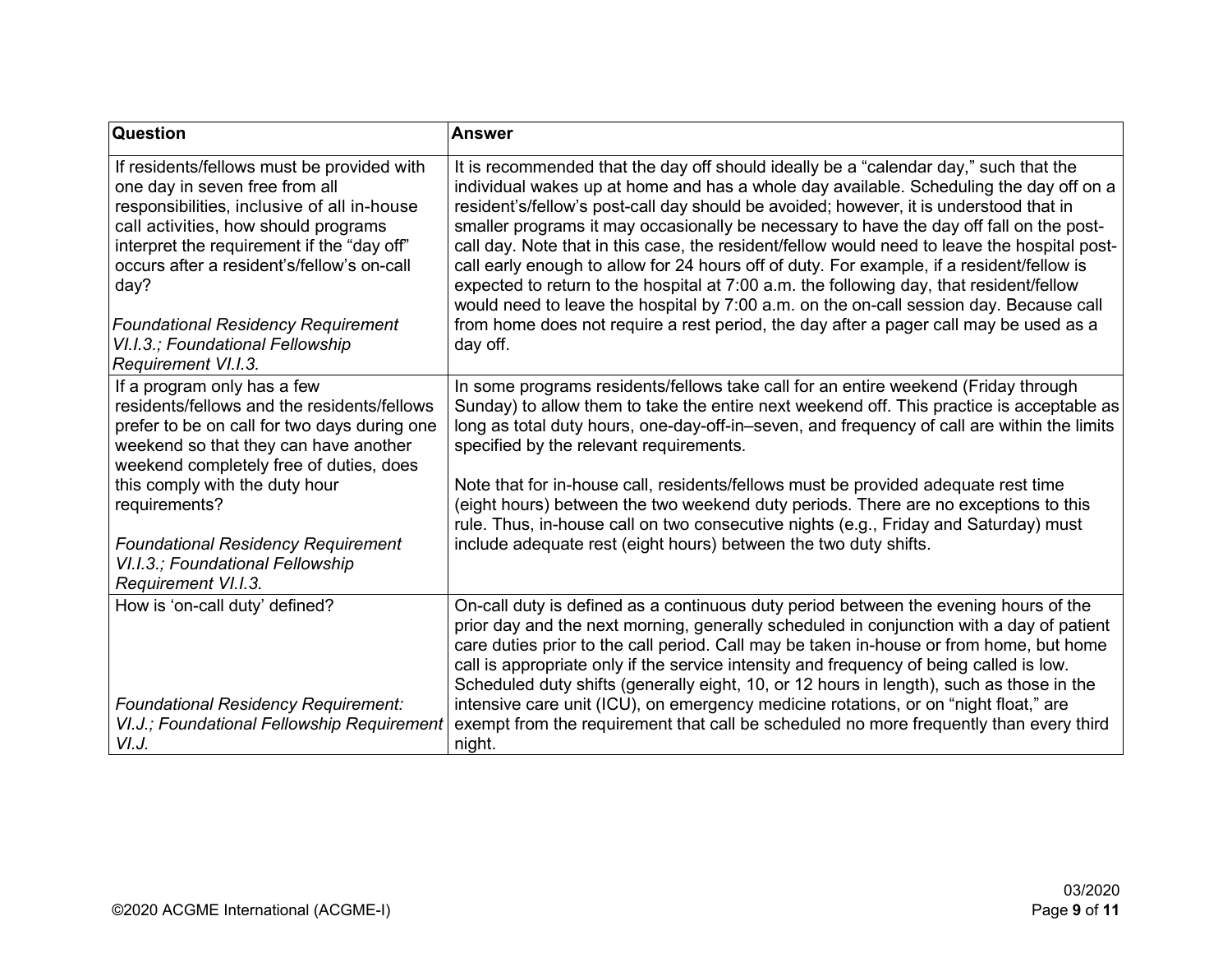| Question                                                                                                                                                                                                                                                                                                                                                                        | <b>Answer</b>                                                                                                                                                                                                                                                                                                                                                                                                                                                                                                                                                                                                                                                                                                                                                                                                                                              |
|---------------------------------------------------------------------------------------------------------------------------------------------------------------------------------------------------------------------------------------------------------------------------------------------------------------------------------------------------------------------------------|------------------------------------------------------------------------------------------------------------------------------------------------------------------------------------------------------------------------------------------------------------------------------------------------------------------------------------------------------------------------------------------------------------------------------------------------------------------------------------------------------------------------------------------------------------------------------------------------------------------------------------------------------------------------------------------------------------------------------------------------------------------------------------------------------------------------------------------------------------|
| If residents/fellows must be provided with<br>one day in seven free from all<br>responsibilities, inclusive of all in-house<br>call activities, how should programs<br>interpret the requirement if the "day off"<br>occurs after a resident's/fellow's on-call<br>day?<br><b>Foundational Residency Requirement</b><br>VI.I.3.; Foundational Fellowship<br>Requirement VI.I.3. | It is recommended that the day off should ideally be a "calendar day," such that the<br>individual wakes up at home and has a whole day available. Scheduling the day off on a<br>resident's/fellow's post-call day should be avoided; however, it is understood that in<br>smaller programs it may occasionally be necessary to have the day off fall on the post-<br>call day. Note that in this case, the resident/fellow would need to leave the hospital post-<br>call early enough to allow for 24 hours off of duty. For example, if a resident/fellow is<br>expected to return to the hospital at 7:00 a.m. the following day, that resident/fellow<br>would need to leave the hospital by 7:00 a.m. on the on-call session day. Because call<br>from home does not require a rest period, the day after a pager call may be used as a<br>day off. |
| If a program only has a few<br>residents/fellows and the residents/fellows<br>prefer to be on call for two days during one<br>weekend so that they can have another<br>weekend completely free of duties, does<br>this comply with the duty hour<br>requirements?<br><b>Foundational Residency Requirement</b><br>VI.I.3.; Foundational Fellowship<br>Requirement VI.I.3.       | In some programs residents/fellows take call for an entire weekend (Friday through<br>Sunday) to allow them to take the entire next weekend off. This practice is acceptable as<br>long as total duty hours, one-day-off-in–seven, and frequency of call are within the limits<br>specified by the relevant requirements.<br>Note that for in-house call, residents/fellows must be provided adequate rest time<br>(eight hours) between the two weekend duty periods. There are no exceptions to this<br>rule. Thus, in-house call on two consecutive nights (e.g., Friday and Saturday) must<br>include adequate rest (eight hours) between the two duty shifts.                                                                                                                                                                                         |
| How is 'on-call duty' defined?<br><b>Foundational Residency Requirement:</b><br>VI.J.; Foundational Fellowship Requirement<br>VI.J.                                                                                                                                                                                                                                             | On-call duty is defined as a continuous duty period between the evening hours of the<br>prior day and the next morning, generally scheduled in conjunction with a day of patient<br>care duties prior to the call period. Call may be taken in-house or from home, but home<br>call is appropriate only if the service intensity and frequency of being called is low.<br>Scheduled duty shifts (generally eight, 10, or 12 hours in length), such as those in the<br>intensive care unit (ICU), on emergency medicine rotations, or on "night float," are<br>exempt from the requirement that call be scheduled no more frequently than every third<br>night.                                                                                                                                                                                             |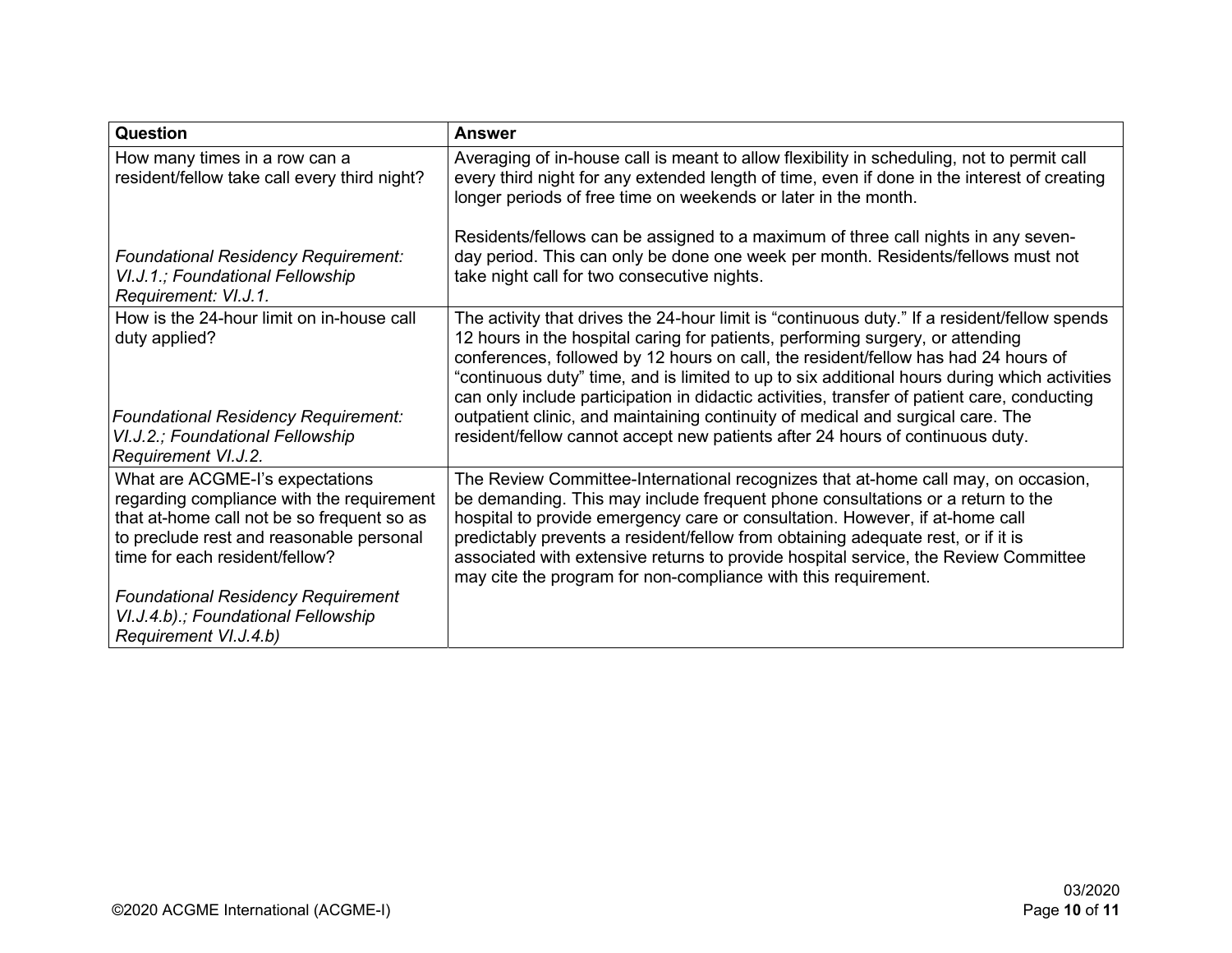| <b>Question</b>                                                                                                                                                                                          | <b>Answer</b>                                                                                                                                                                                                                                                                                                                                                                                                                                                                                                                                                                                                                           |
|----------------------------------------------------------------------------------------------------------------------------------------------------------------------------------------------------------|-----------------------------------------------------------------------------------------------------------------------------------------------------------------------------------------------------------------------------------------------------------------------------------------------------------------------------------------------------------------------------------------------------------------------------------------------------------------------------------------------------------------------------------------------------------------------------------------------------------------------------------------|
| How many times in a row can a<br>resident/fellow take call every third night?                                                                                                                            | Averaging of in-house call is meant to allow flexibility in scheduling, not to permit call<br>every third night for any extended length of time, even if done in the interest of creating<br>longer periods of free time on weekends or later in the month.                                                                                                                                                                                                                                                                                                                                                                             |
| Foundational Residency Requirement:<br>VI.J.1.; Foundational Fellowship<br>Requirement: VI.J.1.                                                                                                          | Residents/fellows can be assigned to a maximum of three call nights in any seven-<br>day period. This can only be done one week per month. Residents/fellows must not<br>take night call for two consecutive nights.                                                                                                                                                                                                                                                                                                                                                                                                                    |
| How is the 24-hour limit on in-house call<br>duty applied?<br>Foundational Residency Requirement:<br>VI.J.2.; Foundational Fellowship                                                                    | The activity that drives the 24-hour limit is "continuous duty." If a resident/fellow spends<br>12 hours in the hospital caring for patients, performing surgery, or attending<br>conferences, followed by 12 hours on call, the resident/fellow has had 24 hours of<br>"continuous duty" time, and is limited to up to six additional hours during which activities<br>can only include participation in didactic activities, transfer of patient care, conducting<br>outpatient clinic, and maintaining continuity of medical and surgical care. The<br>resident/fellow cannot accept new patients after 24 hours of continuous duty. |
| Requirement VI.J.2.                                                                                                                                                                                      |                                                                                                                                                                                                                                                                                                                                                                                                                                                                                                                                                                                                                                         |
| What are ACGME-I's expectations<br>regarding compliance with the requirement<br>that at-home call not be so frequent so as<br>to preclude rest and reasonable personal<br>time for each resident/fellow? | The Review Committee-International recognizes that at-home call may, on occasion,<br>be demanding. This may include frequent phone consultations or a return to the<br>hospital to provide emergency care or consultation. However, if at-home call<br>predictably prevents a resident/fellow from obtaining adequate rest, or if it is<br>associated with extensive returns to provide hospital service, the Review Committee<br>may cite the program for non-compliance with this requirement.                                                                                                                                        |
| <b>Foundational Residency Requirement</b><br>VI.J.4.b).; Foundational Fellowship<br>Requirement VI.J.4.b)                                                                                                |                                                                                                                                                                                                                                                                                                                                                                                                                                                                                                                                                                                                                                         |